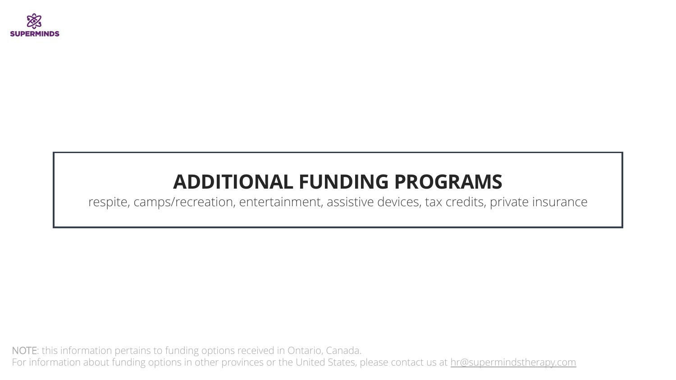

# **ADDITIONAL FUNDING PROGRAMS**

respite, camps/recreation, entertainment, assistive devices, tax credits, private insurance

NOTE: this information pertains to funding options received in Ontario, Canada. For information about funding options in other provinces or the United States, please contact us at hr[@supermindstherapy.com](mailto:contact@supermindstherapy.com?subject=Funding%20Options%20in%20other%20provinces%20or%20the%20US)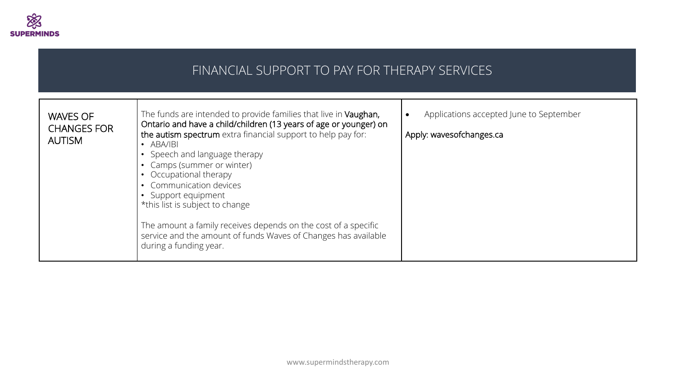

#### WAVES OF CHANGES FOR AUTISM The funds are intended to provide families that live in Vaughan, Ontario and have a child/children (13 years of age or younger) on the autism spectrum extra financial support to help pay for: • ABA/IBI • Speech and language therapy • Camps (summer or winter) • Occupational therapy • Communication devices • Support equipment \*this list is subject to change The amount a family receives depends on the cost of a specific service and the amount of funds Waves of Changes has available during a funding year. • Applications accepted June to September Apply: wavesofchanges.ca FINANCIAL SUPPORT TO PAY FOR THERAPY SERVICES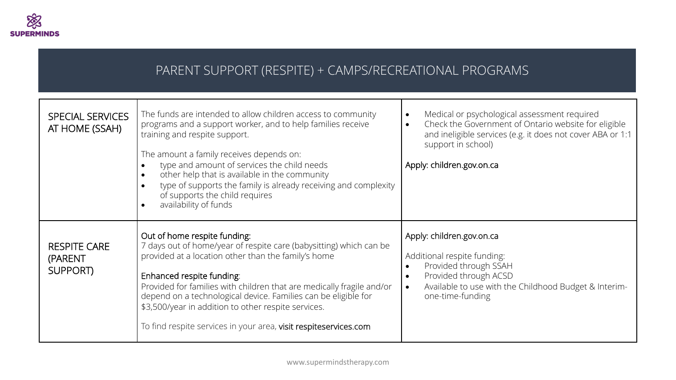

### PARENT SUPPORT (RESPITE) + CAMPS/RECREATIONAL PROGRAMS

| <b>SPECIAL SERVICES</b><br>AT HOME (SSAH)  | The funds are intended to allow children access to community<br>programs and a support worker, and to help families receive<br>training and respite support.<br>The amount a family receives depends on:<br>type and amount of services the child needs<br>other help that is available in the community<br>type of supports the family is already receiving and complexity<br>of supports the child requires<br>availability of funds                       | Medical or psychological assessment required<br>$\bullet$<br>Check the Government of Ontario website for eligible<br>$\bullet$<br>and ineligible services (e.g. it does not cover ABA or 1:1<br>support in school)<br>Apply: children.gov.on.ca |
|--------------------------------------------|--------------------------------------------------------------------------------------------------------------------------------------------------------------------------------------------------------------------------------------------------------------------------------------------------------------------------------------------------------------------------------------------------------------------------------------------------------------|-------------------------------------------------------------------------------------------------------------------------------------------------------------------------------------------------------------------------------------------------|
| <b>RESPITE CARE</b><br>(PARENT<br>SUPPORT) | Out of home respite funding:<br>7 days out of home/year of respite care (babysitting) which can be<br>provided at a location other than the family's home<br>Enhanced respite funding:<br>Provided for families with children that are medically fragile and/or<br>depend on a technological device. Families can be eligible for<br>\$3,500/year in addition to other respite services.<br>To find respite services in your area, visit respiteservices.com | Apply: children.gov.on.ca<br>Additional respite funding:<br>Provided through SSAH<br>$\bullet$<br>Provided through ACSD<br>$\bullet$<br>Available to use with the Childhood Budget & Interim-<br>$\bullet$<br>one-time-funding                  |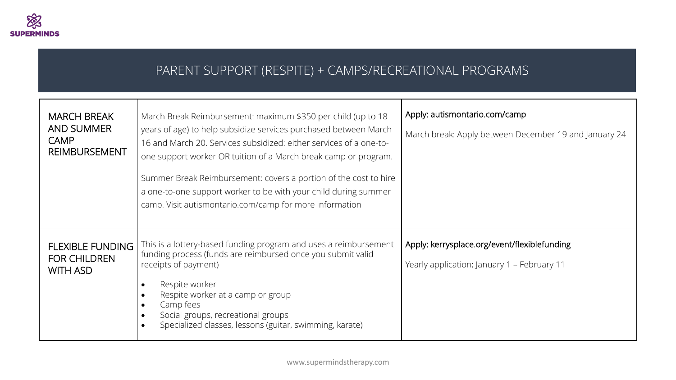

### PARENT SUPPORT (RESPITE) + CAMPS/RECREATIONAL PROGRAMS

| <b>MARCH BREAK</b><br><b>AND SUMMER</b><br><b>CAMP</b><br><b>REIMBURSEMENT</b> | March Break Reimbursement: maximum \$350 per child (up to 18<br>years of age) to help subsidize services purchased between March<br>16 and March 20. Services subsidized: either services of a one-to-<br>one support worker OR tuition of a March break camp or program.<br>Summer Break Reimbursement: covers a portion of the cost to hire<br>a one-to-one support worker to be with your child during summer<br>camp. Visit autismontario.com/camp for more information | Apply: autismontario.com/camp<br>March break: Apply between December 19 and January 24      |
|--------------------------------------------------------------------------------|-----------------------------------------------------------------------------------------------------------------------------------------------------------------------------------------------------------------------------------------------------------------------------------------------------------------------------------------------------------------------------------------------------------------------------------------------------------------------------|---------------------------------------------------------------------------------------------|
| <b>FLEXIBLE FUNDING</b><br><b>FOR CHILDREN</b><br><b>WITH ASD</b>              | This is a lottery-based funding program and uses a reimbursement<br>funding process (funds are reimbursed once you submit valid<br>receipts of payment)<br>Respite worker<br>Respite worker at a camp or group<br>Camp fees<br>Social groups, recreational groups<br>Specialized classes, lessons (guitar, swimming, karate)                                                                                                                                                | Apply: kerrysplace.org/event/flexiblefunding<br>Yearly application; January 1 - February 11 |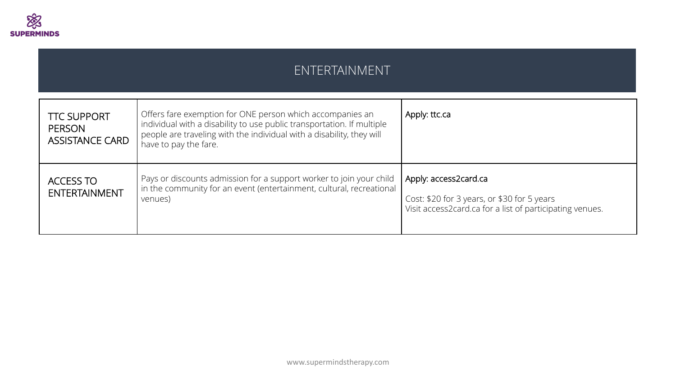

#### ENTERTAINMENT

| <b>TTC SUPPORT</b><br><b>PERSON</b><br><b>ASSISTANCE CARD</b> | Offers fare exemption for ONE person which accompanies an<br>individual with a disability to use public transportation. If multiple<br>people are traveling with the individual with a disability, they will<br>have to pay the fare. | Apply: ttc.ca                                                                                                                    |
|---------------------------------------------------------------|---------------------------------------------------------------------------------------------------------------------------------------------------------------------------------------------------------------------------------------|----------------------------------------------------------------------------------------------------------------------------------|
| <b>ACCESS TO</b><br><b>ENTERTAINMENT</b>                      | Pays or discounts admission for a support worker to join your child<br>in the community for an event (entertainment, cultural, recreational<br>venues)                                                                                | Apply: access2card.ca<br>Cost: \$20 for 3 years, or \$30 for 5 years<br>Visit access2card.ca for a list of participating venues. |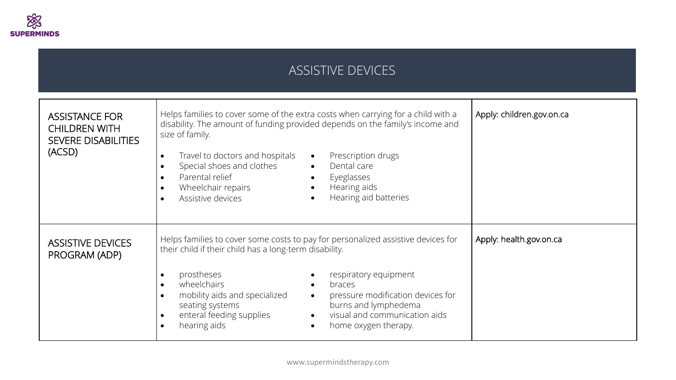

## ASSISTIVE DEVICES

| <b>ASSISTANCE FOR</b><br><b>CHILDREN WITH</b><br><b>SEVERE DISABILITIES</b><br>(ACSD) | Helps families to cover some of the extra costs when carrying for a child with a<br>disability. The amount of funding provided depends on the family's income and<br>size of family.<br>Travel to doctors and hospitals<br>Prescription drugs<br>$\bullet$<br>$\bullet$<br>Special shoes and clothes<br>Dental care<br>$\bullet$<br>$\bullet$<br>Parental relief<br>Eyeglasses<br>$\bullet$<br>$\bullet$<br>Hearing aids<br>Wheelchair repairs<br>$\bullet$<br>Hearing aid batteries<br>Assistive devices<br>$\bullet$ | Apply: children.gov.on.ca |
|---------------------------------------------------------------------------------------|------------------------------------------------------------------------------------------------------------------------------------------------------------------------------------------------------------------------------------------------------------------------------------------------------------------------------------------------------------------------------------------------------------------------------------------------------------------------------------------------------------------------|---------------------------|
| <b>ASSISTIVE DEVICES</b><br>PROGRAM (ADP)                                             | Helps families to cover some costs to pay for personalized assistive devices for<br>their child if their child has a long-term disability.<br>prostheses<br>respiratory equipment<br>$\bullet$<br>wheelchairs<br>braces<br>$\bullet$<br>pressure modification devices for<br>mobility aids and specialized<br>$\bullet$<br>$\bullet$<br>burns and lymphedema<br>seating systems<br>visual and communication aids<br>enteral feeding supplies<br>$\bullet$<br>hearing aids<br>home oxygen therapy.<br>$\bullet$         | Apply: health.gov.on.ca   |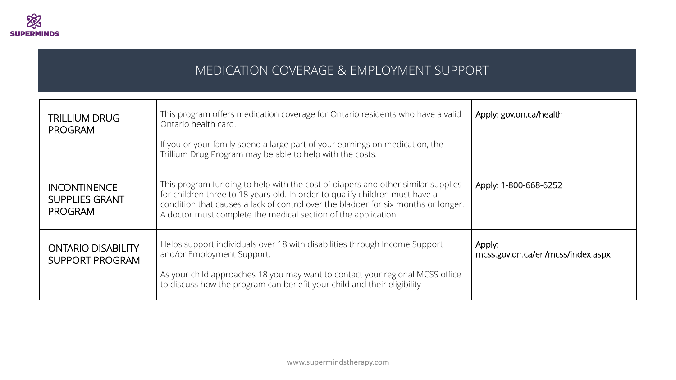

### MEDICATION COVERAGE & EMPLOYMENT SUPPORT

| <b>TRILLIUM DRUG</b><br><b>PROGRAM</b>                         | This program offers medication coverage for Ontario residents who have a valid<br>Ontario health card.<br>If you or your family spend a large part of your earnings on medication, the<br>Trillium Drug Program may be able to help with the costs.                                                                      | Apply: gov.on.ca/health                     |
|----------------------------------------------------------------|--------------------------------------------------------------------------------------------------------------------------------------------------------------------------------------------------------------------------------------------------------------------------------------------------------------------------|---------------------------------------------|
| <b>INCONTINENCE</b><br><b>SUPPLIES GRANT</b><br><b>PROGRAM</b> | This program funding to help with the cost of diapers and other similar supplies<br>for children three to 18 years old. In order to qualify children must have a<br>condition that causes a lack of control over the bladder for six months or longer.<br>A doctor must complete the medical section of the application. | Apply: 1-800-668-6252                       |
| <b>ONTARIO DISABILITY</b><br><b>SUPPORT PROGRAM</b>            | Helps support individuals over 18 with disabilities through Income Support<br>and/or Employment Support.<br>As your child approaches 18 you may want to contact your regional MCSS office<br>to discuss how the program can benefit your child and their eligibility                                                     | Apply:<br>mcss.gov.on.ca/en/mcss/index.aspx |